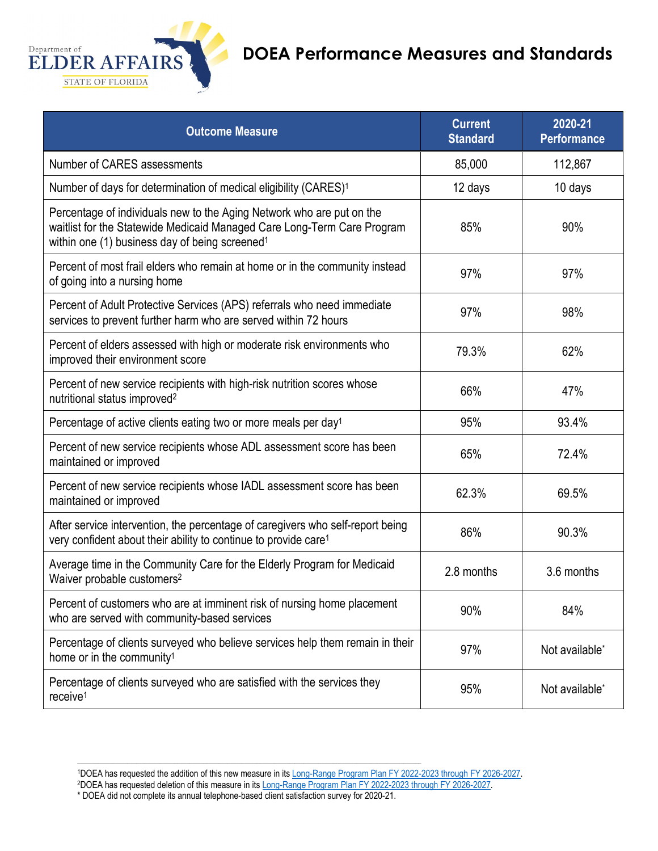## **DOEA Performance Measures and Standards**



| <b>Outcome Measure</b>                                                                                                                                                                                         | <b>Current</b><br><b>Standard</b> | 2020-21<br><b>Performance</b> |
|----------------------------------------------------------------------------------------------------------------------------------------------------------------------------------------------------------------|-----------------------------------|-------------------------------|
| Number of CARES assessments                                                                                                                                                                                    | 85,000                            | 112,867                       |
| Number of days for determination of medical eligibility (CARES) <sup>1</sup>                                                                                                                                   | 12 days                           | 10 days                       |
| Percentage of individuals new to the Aging Network who are put on the<br>waitlist for the Statewide Medicaid Managed Care Long-Term Care Program<br>within one (1) business day of being screened <sup>1</sup> | 85%                               | 90%                           |
| Percent of most frail elders who remain at home or in the community instead<br>of going into a nursing home                                                                                                    | 97%                               | 97%                           |
| Percent of Adult Protective Services (APS) referrals who need immediate<br>services to prevent further harm who are served within 72 hours                                                                     | 97%                               | 98%                           |
| Percent of elders assessed with high or moderate risk environments who<br>improved their environment score                                                                                                     | 79.3%                             | 62%                           |
| Percent of new service recipients with high-risk nutrition scores whose<br>nutritional status improved <sup>2</sup>                                                                                            | 66%                               | 47%                           |
| Percentage of active clients eating two or more meals per day <sup>1</sup>                                                                                                                                     | 95%                               | 93.4%                         |
| Percent of new service recipients whose ADL assessment score has been<br>maintained or improved                                                                                                                | 65%                               | 72.4%                         |
| Percent of new service recipients whose IADL assessment score has been<br>maintained or improved                                                                                                               | 62.3%                             | 69.5%                         |
| After service intervention, the percentage of caregivers who self-report being<br>very confident about their ability to continue to provide care <sup>1</sup>                                                  | 86%                               | 90.3%                         |
| Average time in the Community Care for the Elderly Program for Medicaid<br>Waiver probable customers <sup>2</sup>                                                                                              | 2.8 months                        | 3.6 months                    |
| Percent of customers who are at imminent risk of nursing home placement<br>who are served with community-based services                                                                                        | 90%                               | 84%                           |
| Percentage of clients surveyed who believe services help them remain in their<br>home or in the community <sup>1</sup>                                                                                         | 97%                               | Not available*                |
| Percentage of clients surveyed who are satisfied with the services they<br>receive <sup>1</sup>                                                                                                                | 95%                               | Not available*                |

\* DOEA did not complete its annual telephone-based client satisfaction survey for 2020-21.

\_\_\_\_\_\_\_\_\_\_\_\_\_\_\_\_\_\_\_\_\_\_\_\_\_\_\_\_\_\_\_\_\_\_\_\_\_\_\_\_\_\_\_\_\_\_\_\_\_\_\_\_\_\_\_\_\_\_\_\_\_\_\_\_\_\_\_\_\_\_\_\_\_\_\_\_\_\_\_\_\_\_\_\_\_\_\_\_\_\_\_\_\_\_\_\_\_\_\_\_\_\_\_\_\_\_\_\_\_\_\_\_\_\_\_\_\_

<sup>1</sup>DOEA has requested the addition of this new measure in its [Long-Range Program Plan FY 2022-2023 through FY 2026-2027.](http://floridafiscalportal.state.fl.us/Document.aspx?ID=23182&DocType=PDF)

<sup>2</sup>DOEA has requested deletion of this measure in it[s Long-Range Program Plan FY 2022-2023 through FY 2026-2027.](http://floridafiscalportal.state.fl.us/Document.aspx?ID=23182&DocType=PDF)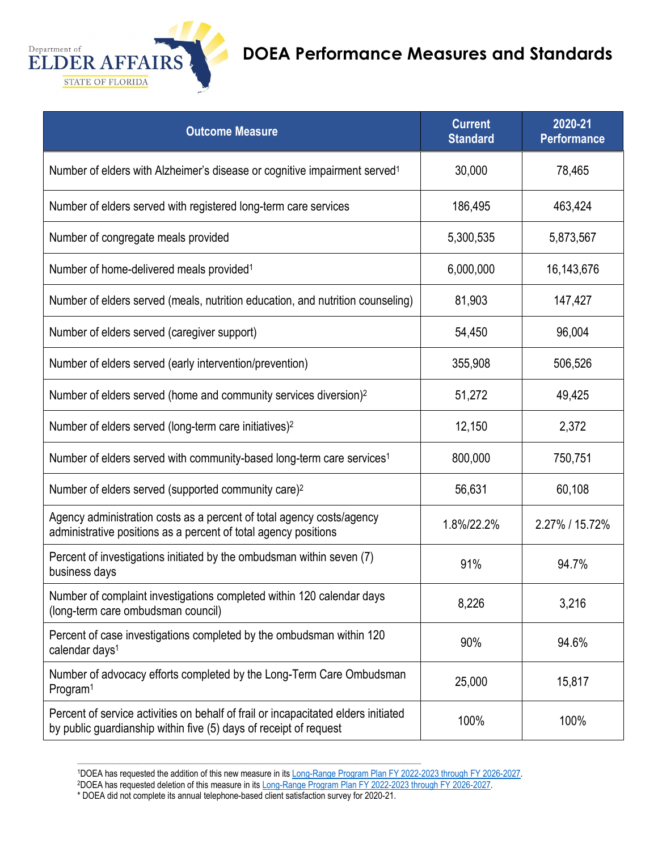## **DOEA Performance Measures and Standards**



| <b>Outcome Measure</b>                                                                                                                                  | <b>Current</b><br><b>Standard</b> | 2020-21<br><b>Performance</b> |
|---------------------------------------------------------------------------------------------------------------------------------------------------------|-----------------------------------|-------------------------------|
| Number of elders with Alzheimer's disease or cognitive impairment served <sup>1</sup>                                                                   | 30,000                            | 78,465                        |
| Number of elders served with registered long-term care services                                                                                         | 186,495                           | 463,424                       |
| Number of congregate meals provided                                                                                                                     | 5,300,535                         | 5,873,567                     |
| Number of home-delivered meals provided <sup>1</sup>                                                                                                    | 6,000,000                         | 16,143,676                    |
| Number of elders served (meals, nutrition education, and nutrition counseling)                                                                          | 81,903                            | 147,427                       |
| Number of elders served (caregiver support)                                                                                                             | 54,450                            | 96,004                        |
| Number of elders served (early intervention/prevention)                                                                                                 | 355,908                           | 506,526                       |
| Number of elders served (home and community services diversion) <sup>2</sup>                                                                            | 51,272                            | 49,425                        |
| Number of elders served (long-term care initiatives) <sup>2</sup>                                                                                       | 12,150                            | 2,372                         |
| Number of elders served with community-based long-term care services <sup>1</sup>                                                                       | 800,000                           | 750,751                       |
| Number of elders served (supported community care) <sup>2</sup>                                                                                         | 56,631                            | 60,108                        |
| Agency administration costs as a percent of total agency costs/agency<br>administrative positions as a percent of total agency positions                | 1.8%/22.2%                        | 2.27% / 15.72%                |
| Percent of investigations initiated by the ombudsman within seven (7)<br>business days                                                                  | 91%                               | 94.7%                         |
| Number of complaint investigations completed within 120 calendar days<br>(long-term care ombudsman council)                                             | 8,226                             | 3,216                         |
| Percent of case investigations completed by the ombudsman within 120<br>calendar days <sup>1</sup>                                                      | 90%                               | 94.6%                         |
| Number of advocacy efforts completed by the Long-Term Care Ombudsman<br>Program <sup>1</sup>                                                            | 25,000                            | 15,817                        |
| Percent of service activities on behalf of frail or incapacitated elders initiated<br>by public guardianship within five (5) days of receipt of request | 100%                              | 100%                          |

<sup>1</sup>DOEA has requested the addition of this new measure in its [Long-Range Program Plan FY 2022-2023 through FY 2026-2027.](http://floridafiscalportal.state.fl.us/Document.aspx?ID=23182&DocType=PDF)

\_\_\_\_\_\_\_\_\_\_\_\_\_\_\_\_\_\_\_\_\_\_\_\_\_\_\_\_\_\_\_\_\_\_\_\_\_\_\_\_\_\_\_\_\_\_\_\_\_\_\_\_\_\_\_\_\_\_\_\_\_\_\_\_\_\_\_\_\_\_\_\_\_\_\_\_\_\_\_\_\_\_\_\_\_\_\_\_\_\_\_\_\_\_\_\_\_\_\_\_\_\_\_\_\_\_\_\_\_\_\_\_\_\_\_\_\_

<sup>2</sup>DOEA has requested deletion of this measure in it[s Long-Range Program Plan FY 2022-2023 through FY 2026-2027.](http://floridafiscalportal.state.fl.us/Document.aspx?ID=23182&DocType=PDF)

<sup>\*</sup> DOEA did not complete its annual telephone-based client satisfaction survey for 2020-21.